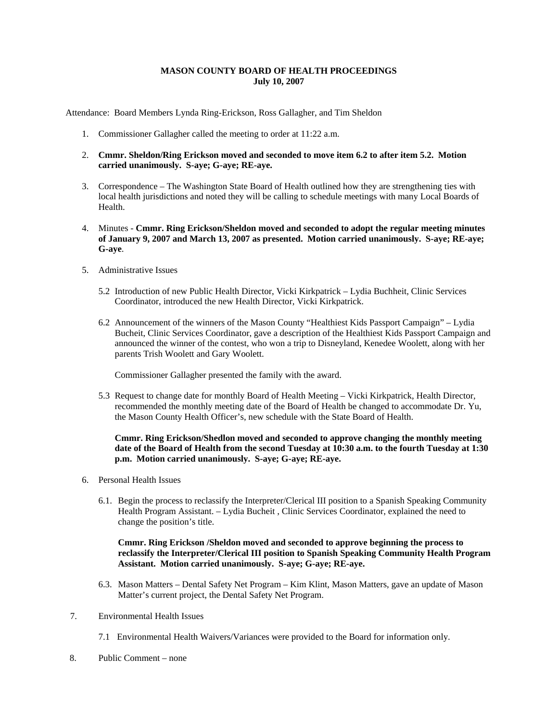## **MASON COUNTY BOARD OF HEALTH PROCEEDINGS July 10, 2007**

Attendance: Board Members Lynda Ring-Erickson, Ross Gallagher, and Tim Sheldon

- 1. Commissioner Gallagher called the meeting to order at 11:22 a.m.
- 2. **Cmmr. Sheldon/Ring Erickson moved and seconded to move item 6.2 to after item 5.2. Motion carried unanimously. S-aye; G-aye; RE-aye.**
- 3. Correspondence The Washington State Board of Health outlined how they are strengthening ties with local health jurisdictions and noted they will be calling to schedule meetings with many Local Boards of Health.
- 4. Minutes **Cmmr. Ring Erickson/Sheldon moved and seconded to adopt the regular meeting minutes of January 9, 2007 and March 13, 2007 as presented. Motion carried unanimously. S-aye; RE-aye; G-aye**.
- 5. Administrative Issues
	- 5.2 Introduction of new Public Health Director, Vicki Kirkpatrick Lydia Buchheit, Clinic Services Coordinator, introduced the new Health Director, Vicki Kirkpatrick.
	- 6.2 Announcement of the winners of the Mason County "Healthiest Kids Passport Campaign" Lydia Bucheit, Clinic Services Coordinator, gave a description of the Healthiest Kids Passport Campaign and announced the winner of the contest, who won a trip to Disneyland, Kenedee Woolett, along with her parents Trish Woolett and Gary Woolett.

Commissioner Gallagher presented the family with the award.

5.3 Request to change date for monthly Board of Health Meeting – Vicki Kirkpatrick, Health Director, recommended the monthly meeting date of the Board of Health be changed to accommodate Dr. Yu, the Mason County Health Officer's, new schedule with the State Board of Health.

### **Cmmr. Ring Erickson/Shedlon moved and seconded to approve changing the monthly meeting date of the Board of Health from the second Tuesday at 10:30 a.m. to the fourth Tuesday at 1:30 p.m. Motion carried unanimously. S-aye; G-aye; RE-aye.**

- 6. Personal Health Issues
	- 6.1. Begin the process to reclassify the Interpreter/Clerical III position to a Spanish Speaking Community Health Program Assistant. – Lydia Bucheit , Clinic Services Coordinator, explained the need to change the position's title.

## **Cmmr. Ring Erickson /Sheldon moved and seconded to approve beginning the process to reclassify the Interpreter/Clerical III position to Spanish Speaking Community Health Program Assistant. Motion carried unanimously. S-aye; G-aye; RE-aye.**

- 6.3. Mason Matters Dental Safety Net Program Kim Klint, Mason Matters, gave an update of Mason Matter's current project, the Dental Safety Net Program.
- 7. Environmental Health Issues
	- 7.1 Environmental Health Waivers/Variances were provided to the Board for information only.
- 8. Public Comment none